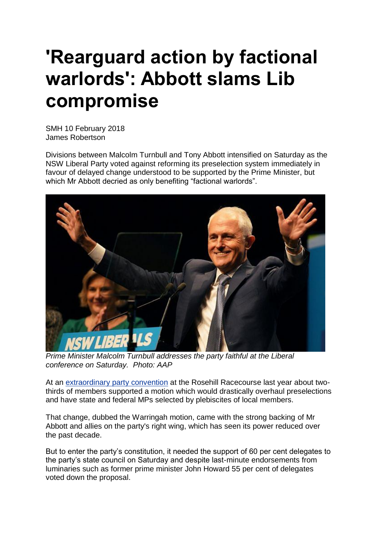## **'Rearguard action by factional warlords': Abbott slams Lib compromise**

SMH 10 February 2018 James Robertson

Divisions between Malcolm Turnbull and Tony Abbott intensified on Saturday as the NSW Liberal Party voted against reforming its preselection system immediately in favour of delayed change understood to be supported by the Prime Minister, but which Mr Abbott decried as only benefiting "factional warlords".



*Prime Minister Malcolm Turnbull addresses the party faithful at the Liberal conference on Saturday. Photo: AAP*

At an [extraordinary](http://www.smh.com.au/federal-politics/political-news/tony-abbott) party convention at the Rosehill Racecourse last year about twothirds of members supported a motion which would drastically overhaul preselections and have state and federal MPs selected by plebiscites of local members.

That change, dubbed the Warringah motion, came with the strong backing of Mr Abbott and allies on the party's right wing, which has seen its power reduced over the past decade.

But to enter the party's constitution, it needed the support of 60 per cent delegates to the party's state council on Saturday and despite last-minute endorsements from luminaries such as former prime minister John Howard 55 per cent of delegates voted down the proposal.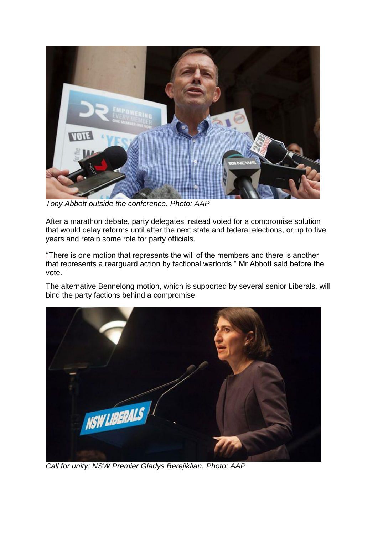

*Tony Abbott outside the conference. Photo: AAP*

After a marathon debate, party delegates instead voted for a compromise solution that would delay reforms until after the next state and federal elections, or up to five years and retain some role for party officials.

"There is one motion that represents the will of the members and there is another that represents a rearguard action by factional warlords," Mr Abbott said before the vote.

The alternative Bennelong motion, which is supported by several senior Liberals, will bind the party factions behind a compromise.



*Call for unity: NSW Premier Gladys Berejiklian. Photo: AAP*